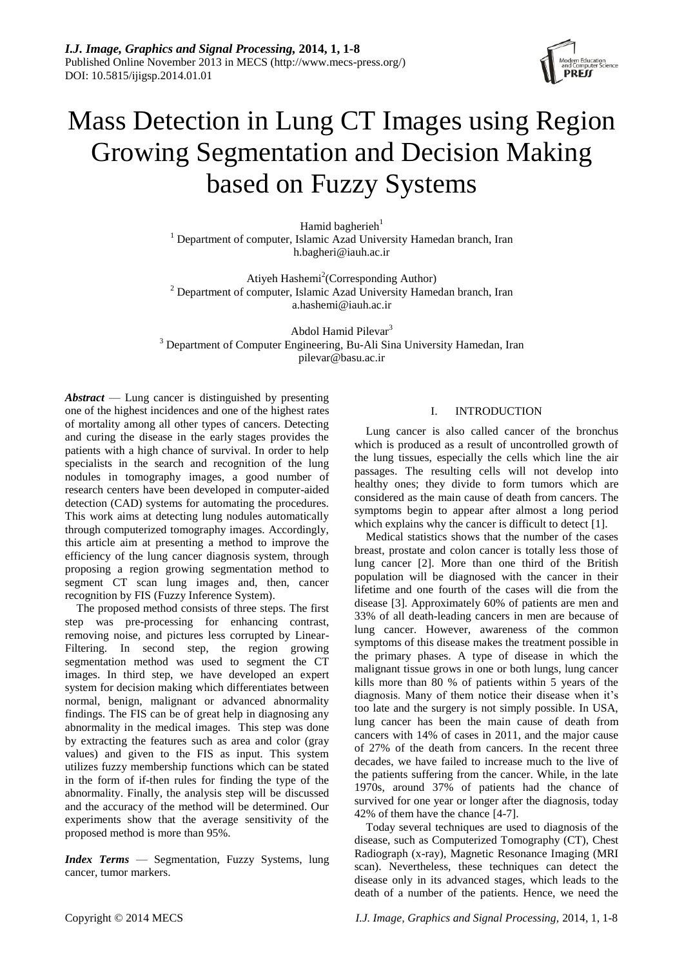

# Mass Detection in Lung CT Images using Region Growing Segmentation and Decision Making based on Fuzzy Systems

Hamid bagherieh $1$ <sup>1</sup> Department of computer, Islamic Azad University Hamedan branch, Iran h.bagheri@iauh.ac.ir

Atiyeh Hashemi<sup>2</sup>(Corresponding Author) <sup>2</sup> Department of computer, Islamic Azad University Hamedan branch, Iran a.hashemi@iauh.ac.ir

Abdol Hamid Pilevar<sup>3</sup> <sup>3</sup> Department of Computer Engineering, Bu-Ali Sina University Hamedan, Iran [pilevar@basu.ac.ir](mailto:pilevar@basu.ac.ir)

*Abstract* — Lung cancer is distinguished by presenting one of the highest incidences and one of the highest rates of mortality among all other types of cancers. Detecting and curing the disease in the early stages provides the patients with a high chance of survival. In order to help specialists in the search and recognition of the lung nodules in tomography images, a good number of research centers have been developed in computer-aided detection (CAD) systems for automating the procedures. This work aims at detecting lung nodules automatically through computerized tomography images. Accordingly, this article aim at presenting a method to improve the efficiency of the lung cancer diagnosis system, through proposing a region growing segmentation method to segment CT scan lung images and, then, cancer recognition by FIS (Fuzzy Inference System).

The proposed method consists of three steps. The first step was pre-processing for enhancing contrast, removing noise, and pictures less corrupted by Linear-Filtering. In second step, the region growing segmentation method was used to segment the CT images. In third step, we have developed an expert system for decision making which differentiates between normal, benign, malignant or advanced abnormality findings. The FIS can be of great help in diagnosing any abnormality in the medical images. This step was done by extracting the features such as area and color (gray values) and given to the FIS as input. This system utilizes fuzzy membership functions which can be stated in the form of if-then rules for finding the type of the abnormality. Finally, the analysis step will be discussed and the accuracy of the method will be determined. Our experiments show that the average sensitivity of the proposed method is more than 95%.

*Index Terms* — Segmentation, Fuzzy Systems, lung cancer, tumor markers.

## I. INTRODUCTION

Lung cancer is also called cancer of the bronchus which is produced as a result of uncontrolled growth of the lung tissues, especially the cells which line the air passages. The resulting cells will not develop into healthy ones; they divide to form tumors which are considered as the main cause of death from cancers. The symptoms begin to appear after almost a long period which explains why the cancer is difficult to detect [\[1\]](#page-5-0).

Medical statistics shows that the number of the cases breast, prostate and colon cancer is totally less those of lung cancer [\[2\]](#page-5-1). More than one third of the British population will be diagnosed with the cancer in their lifetime and one fourth of the cases will die from the disease [\[3\]](#page-6-0). Approximately 60% of patients are men and 33% of all death-leading cancers in men are because of lung cancer. However, awareness of the common symptoms of this disease makes the treatment possible in the primary phases. A type of disease in which the malignant tissue grows in one or both lungs, lung cancer kills more than 80 % of patients within 5 years of the diagnosis. Many of them notice their disease when it's too late and the surgery is not simply possible. In USA, lung cancer has been the main cause of death from cancers with 14% of cases in 2011, and the major cause of 27% of the death from cancers. In the recent three decades, we have failed to increase much to the live of the patients suffering from the cancer. While, in the late 1970s, around 37% of patients had the chance of survived for one year or longer after the diagnosis, today 42% of them have the chance [\[4-7\]](#page-6-1).

Today several techniques are used to diagnosis of the disease, such as Computerized Tomography (CT), Chest Radiograph (x-ray), Magnetic Resonance Imaging (MRI scan). Nevertheless, these techniques can detect the disease only in its advanced stages, which leads to the death of a number of the patients. Hence, we need the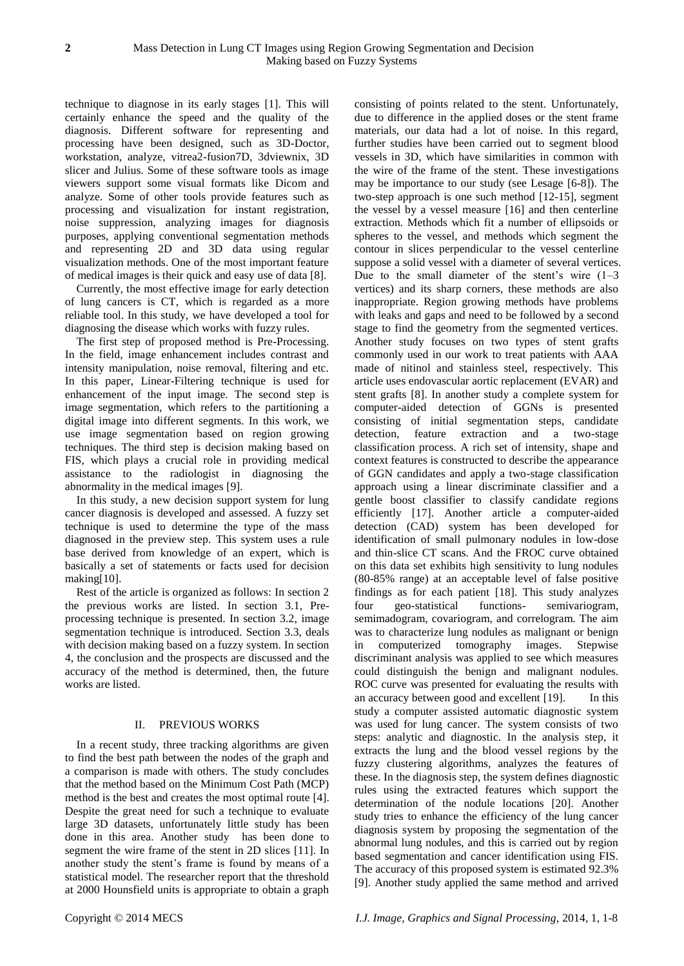technique to diagnose in its early stages [\[1\]](#page-5-0). This will certainly enhance the speed and the quality of the diagnosis. Different software for representing and processing have been designed, such as 3D-Doctor, workstation, analyze, vitrea2-fusion7D, 3dviewnix, 3D slicer and Julius. Some of these software tools as image viewers support some visual formats like Dicom and analyze. Some of other tools provide features such as processing and visualization for instant registration, noise suppression, analyzing images for diagnosis purposes, applying conventional segmentation methods and representing 2D and 3D data using regular visualization methods. One of the most important feature of medical images is their quick and easy use of data [\[8\]](#page-6-2).

Currently, the most effective image for early detection of lung cancers is CT, which is regarded as a more reliable tool. In this study, we have developed a tool for diagnosing the disease which works with fuzzy rules.

The first step of proposed method is Pre-Processing. In the field, image enhancement includes contrast and intensity manipulation, noise removal, filtering and etc. In this paper, Linear-Filtering technique is used for enhancement of the input image. The second step is image segmentation, which refers to the partitioning a digital image into different segments. In this work, we use image segmentation based on region growing techniques. The third step is decision making based on FIS, which plays a crucial role in providing medical assistance to the radiologist in diagnosing the abnormality in the medical images [\[9\]](#page-6-3).

In this study, a new decision support system for lung cancer diagnosis is developed and assessed. A fuzzy set technique is used to determine the type of the mass diagnosed in the preview step. This system uses a rule base derived from knowledge of an expert, which is basically a set of statements or facts used for decision making[\[10\]](#page-6-4).

Rest of the article is organized as follows: In section 2 the previous works are listed. In section 3.1, Preprocessing technique is presented. In section 3.2, image segmentation technique is introduced. Section 3.3, deals with decision making based on a fuzzy system. In section 4, the conclusion and the prospects are discussed and the accuracy of the method is determined, then, the future works are listed.

## II. PREVIOUS WORKS

In a recent study, three tracking algorithms are given to find the best path between the nodes of the graph and a comparison is made with others. The study concludes that the method based on the Minimum Cost Path (MCP) method is the best and creates the most optimal route [\[4\]](#page-6-1). Despite the great need for such a technique to evaluate large 3D datasets, unfortunately little study has been done in this area. Another study has been done to segment the wire frame of the stent in 2D slices [\[11\]](#page-6-5). In another study the stent's frame is found by means of a statistical model. The researcher report that the threshold at 2000 Hounsfield units is appropriate to obtain a graph consisting of points related to the stent. Unfortunately, due to difference in the applied doses or the stent frame materials, our data had a lot of noise. In this regard, further studies have been carried out to segment blood vessels in 3D, which have similarities in common with the wire of the frame of the stent. These investigations may be importance to our study (see Lesage [\[6-8\]](#page-6-6)). The two-step approach is one such method [\[12-15\]](#page-6-7), segment the vessel by a vessel measure [\[16\]](#page-6-8) and then centerline extraction. Methods which fit a number of ellipsoids or spheres to the vessel, and methods which segment the contour in slices perpendicular to the vessel centerline suppose a solid vessel with a diameter of several vertices. Due to the small diameter of the stent's wire  $(1-3)$ vertices) and its sharp corners, these methods are also inappropriate. Region growing methods have problems with leaks and gaps and need to be followed by a second stage to find the geometry from the segmented vertices. Another study focuses on two types of stent grafts commonly used in our work to treat patients with AAA made of nitinol and stainless steel, respectively. This article uses endovascular aortic replacement (EVAR) and stent grafts [\[8\]](#page-6-2). In another study a complete system for computer-aided detection of GGNs is presented consisting of initial segmentation steps, candidate detection, feature extraction and a two-stage classification process. A rich set of intensity, shape and context features is constructed to describe the appearance of GGN candidates and apply a two-stage classification approach using a linear discriminate classifier and a gentle boost classifier to classify candidate regions efficiently [\[17\]](#page-6-9). Another article a computer-aided detection (CAD) system has been developed for identification of small pulmonary nodules in low-dose and thin-slice CT scans. And the FROC curve obtained on this data set exhibits high sensitivity to lung nodules (80-85% range) at an acceptable level of false positive findings as for each patient [\[18\]](#page-6-10). This study analyzes four geo-statistical functions- semivariogram, semimadogram, covariogram, and correlogram. The aim was to characterize lung nodules as malignant or benign in computerized tomography images. Stepwise discriminant analysis was applied to see which measures could distinguish the benign and malignant nodules. ROC curve was presented for evaluating the results with an accuracy between good and excellent [\[19\]](#page-6-11). In this study a computer assisted automatic diagnostic system was used for lung cancer. The system consists of two steps: analytic and diagnostic. In the analysis step, it extracts the lung and the blood vessel regions by the fuzzy clustering algorithms, analyzes the features of these. In the diagnosis step, the system defines diagnostic rules using the extracted features which support the determination of the nodule locations [\[20\]](#page-6-12). Another study tries to enhance the efficiency of the lung cancer diagnosis system by proposing the segmentation of the abnormal lung nodules, and this is carried out by region based segmentation and cancer identification using FIS. The accuracy of this proposed system is estimated 92.3% [\[9\]](#page-6-3). Another study applied the same method and arrived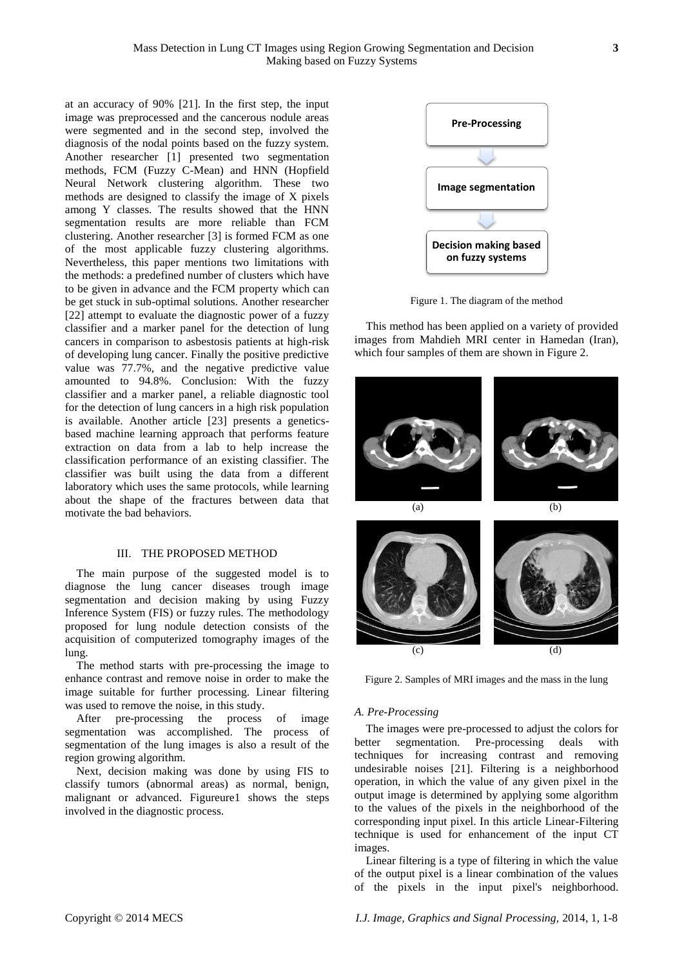at an accuracy of 90% [\[21\]](#page-6-13). In the first step, the input image was preprocessed and the cancerous nodule areas were segmented and in the second step, involved the diagnosis of the nodal points based on the fuzzy system. Another researcher [\[1\]](#page-5-0) presented two segmentation methods, FCM (Fuzzy C-Mean) and HNN (Hopfield Neural Network clustering algorithm. These two methods are designed to classify the image of X pixels among Y classes. The results showed that the HNN segmentation results are more reliable than FCM clustering. Another researcher [\[3\]](#page-6-0) is formed FCM as one of the most applicable fuzzy clustering algorithms. Nevertheless, this paper mentions two limitations with the methods: a predefined number of clusters which have to be given in advance and the FCM property which can be get stuck in sub-optimal solutions. Another researcher [\[22\]](#page-6-14) attempt to evaluate the diagnostic power of a fuzzy classifier and a marker panel for the detection of lung cancers in comparison to asbestosis patients at high-risk of developing lung cancer. Finally the positive predictive value was 77.7%, and the negative predictive value amounted to 94.8%. Conclusion: With the fuzzy classifier and a marker panel, a reliable diagnostic tool for the detection of lung cancers in a high risk population is available. Another article [\[23\]](#page-6-15) presents a geneticsbased machine learning approach that performs feature extraction on data from a lab to help increase the classification performance of an existing classifier. The classifier was built using the data from a different laboratory which uses the same protocols, while learning about the shape of the fractures between data that motivate the bad behaviors.

#### III. THE PROPOSED METHOD

The main purpose of the suggested model is to diagnose the lung cancer diseases trough image segmentation and decision making by using Fuzzy Inference System (FIS) or fuzzy rules. The methodology proposed for lung nodule detection consists of the acquisition of computerized tomography images of the lung.

The method starts with pre-processing the image to enhance contrast and remove noise in order to make the image suitable for further processing. Linear filtering was used to remove the noise, in this study.

After pre-processing the process of image segmentation was accomplished. The process of segmentation of the lung images is also a result of the region growing algorithm.

Next, decision making was done by using FIS to classify tumors (abnormal areas) as normal, benign, malignant or advanced. Figureure1 shows the steps involved in the diagnostic process.



Figure 1. The diagram of the method

This method has been applied on a variety of provided images from Mahdieh MRI center in Hamedan (Iran), which four samples of them are shown in Figure 2.



Figure 2. Samples of MRI images and the mass in the lung

#### *A. Pre-Processing*

The images were pre-processed to adjust the colors for better segmentation. Pre-processing deals with techniques for increasing contrast and removing undesirable noises [\[21\]](#page-6-13). Filtering is a neighborhood operation, in which the value of any given pixel in the output image is determined by applying some algorithm to the values of the pixels in the neighborhood of the corresponding input pixel. In this article Linear-Filtering technique is used for enhancement of the input CT images.

Linear filtering is a type of filtering in which the value of the output pixel is a linear combination of the values of the pixels in the input pixel's neighborhood.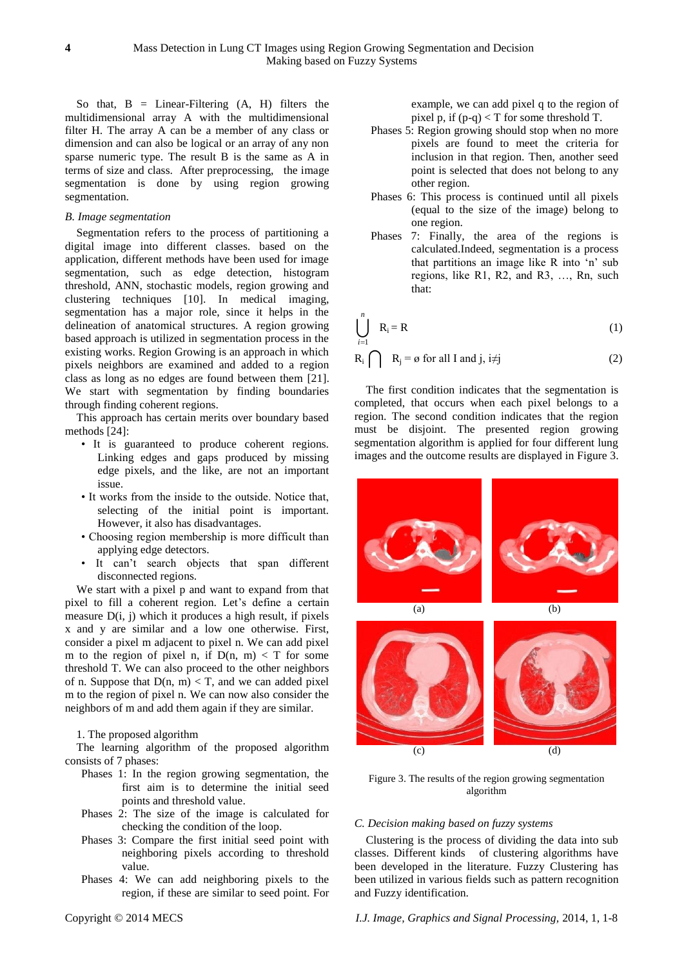So that,  $B = Linear-Filtering (A, H) filters the$ multidimensional array A with the multidimensional filter H. The array A can be a member of any class or dimension and can also be logical or an array of any non sparse numeric type. The result B is the same as A in terms of size and class. After preprocessing, the image segmentation is done by using region growing segmentation.

#### *B. Image segmentation*

Segmentation refers to the process of partitioning a digital image into different classes. based on the application, different methods have been used for image segmentation, such as edge detection, histogram threshold, ANN, stochastic models, region growing and clustering techniques [\[10\]](#page-6-4). In medical imaging, segmentation has a major role, since it helps in the delineation of anatomical structures. A region growing based approach is utilized in segmentation process in the existing works. Region Growing is an approach in which pixels neighbors are examined and added to a region class as long as no edges are found between them [\[21\]](#page-6-13). We start with segmentation by finding boundaries through finding coherent regions.

This approach has certain merits over boundary based methods [\[24\]](#page-6-16):

- It is guaranteed to produce coherent regions. Linking edges and gaps produced by missing edge pixels, and the like, are not an important issue.
- It works from the inside to the outside. Notice that, selecting of the initial point is important. However, it also has disadvantages.
- Choosing region membership is more difficult than applying edge detectors.
- It can't search objects that span different disconnected regions.

We start with a pixel p and want to expand from that pixel to fill a coherent region. Let's define a certain measure D(i, j) which it produces a high result, if pixels x and y are similar and a low one otherwise. First, consider a pixel m adjacent to pixel n. We can add pixel m to the region of pixel n, if  $D(n, m) < T$  for some threshold T. We can also proceed to the other neighbors of n. Suppose that  $D(n, m) < T$ , and we can added pixel m to the region of pixel n. We can now also consider the neighbors of m and add them again if they are similar.

## 1. The proposed algorithm

The learning algorithm of the proposed algorithm consists of 7 phases:

- Phases 1: In the region growing segmentation, the first aim is to determine the initial seed points and threshold value.
- Phases 2: The size of the image is calculated for checking the condition of the loop.
- Phases 3: Compare the first initial seed point with neighboring pixels according to threshold value.
- Phases 4: We can add neighboring pixels to the region, if these are similar to seed point. For

example, we can add pixel q to the region of pixel p, if (p-q) < T for some threshold T.

- Phases 5: Region growing should stop when no more pixels are found to meet the criteria for inclusion in that region. Then, another seed point is selected that does not belong to any other region.
- Phases 6: This process is continued until all pixels (equal to the size of the image) belong to one region.
- Phases 7: Finally, the area of the regions is calculated.Indeed, segmentation is a process that partitions an image like R into 'n' sub regions, like R1, R2, and R3, …, Rn, such that:

$$
\bigcup_{i=1}^{n} R_{i} = R
$$
 (1)

$$
R_i \bigcap R_j = \emptyset \text{ for all } I \text{ and } j, i \neq j
$$
 (2)

The first condition indicates that the segmentation is completed, that occurs when each pixel belongs to a region. The second condition indicates that the region must be disjoint. The presented region growing segmentation algorithm is applied for four different lung images and the outcome results are displayed in Figure 3.



Figure 3. The results of the region growing segmentation algorithm

## *C. Decision making based on fuzzy systems*

Clustering is the process of dividing the data into sub classes. Different kinds of clustering algorithms have been developed in the literature. Fuzzy Clustering has been utilized in various fields such as pattern recognition and Fuzzy identification.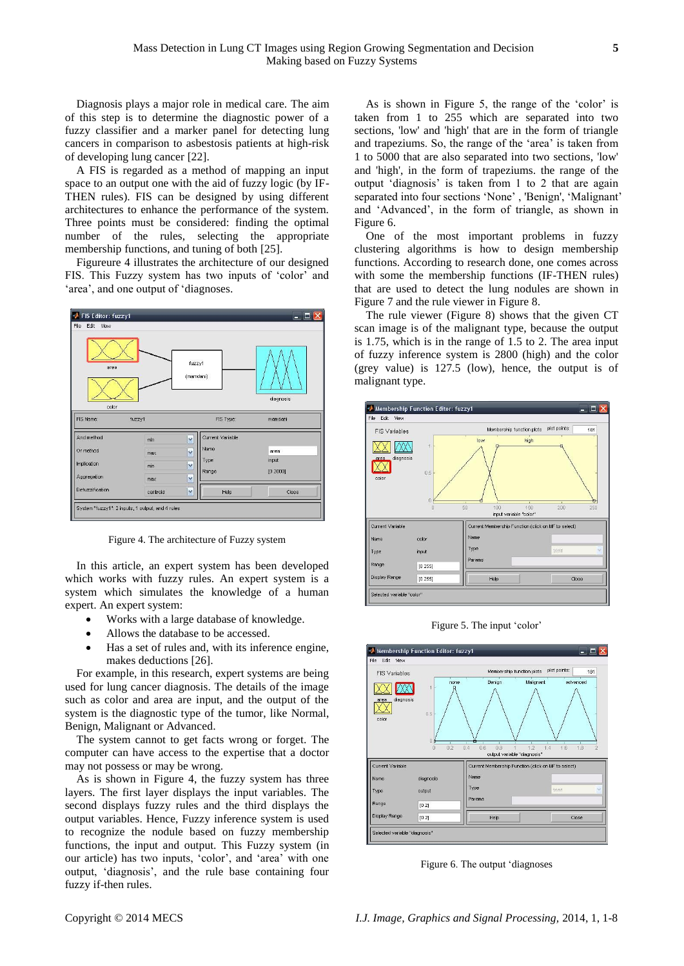Diagnosis plays a major role in medical care. The aim of this step is to determine the diagnostic power of a fuzzy classifier and a marker panel for detecting lung cancers in comparison to asbestosis patients at high-risk of developing lung cancer [\[22\]](#page-6-14).

A FIS is regarded as a method of mapping an input space to an output one with the aid of fuzzy logic (by IF-THEN rules). FIS can be designed by using different architectures to enhance the performance of the system. Three points must be considered: finding the optimal number of the rules, selecting the appropriate membership functions, and tuning of both [\[25\]](#page-6-17).

Figureure 4 illustrates the architecture of our designed FIS. This Fuzzy system has two inputs of 'color' and 'area', and one output of 'diagnoses.



Figure 4. The architecture of Fuzzy system

In this article, an expert system has been developed which works with fuzzy rules. An expert system is a system which simulates the knowledge of a human expert. An expert system:

- Works with a large database of knowledge.
- Allows the database to be accessed.
- Has a set of rules and, with its inference engine, makes deductions [\[26\]](#page-6-18).

For example, in this research, expert systems are being used for lung cancer diagnosis. The details of the image such as color and area are input, and the output of the system is the diagnostic type of the tumor, like Normal, Benign, Malignant or Advanced.

The system cannot to get facts wrong or forget. The computer can have access to the expertise that a doctor may not possess or may be wrong.

As is shown in Figure 4, the fuzzy system has three layers. The first layer displays the input variables. The second displays fuzzy rules and the third displays the output variables. Hence, Fuzzy inference system is used to recognize the nodule based on fuzzy membership functions, the input and output. This Fuzzy system (in our article) has two inputs, 'color', and 'area' with one output, 'diagnosis', and the rule base containing four fuzzy if-then rules.

As is shown in Figure 5, the range of the 'color' is taken from 1 to 255 which are separated into two sections, 'low' and 'high' that are in the form of triangle and trapeziums. So, the range of the 'area' is taken from 1 to 5000 that are also separated into two sections, 'low' and 'high', in the form of trapeziums. the range of the output 'diagnosis' is taken from 1 to 2 that are again separated into four sections 'None' , 'Benign', 'Malignant' and 'Advanced', in the form of triangle, as shown in Figure 6.

One of the most important problems in fuzzy clustering algorithms is how to design membership functions. According to research done, one comes across with some the membership functions (IF-THEN rules) that are used to detect the lung nodules are shown in Figure 7 and the rule viewer in Figure 8.

The rule viewer (Figure 8) shows that the given CT scan image is of the malignant type, because the output is 1.75, which is in the range of 1.5 to 2. The area input of fuzzy inference system is 2800 (high) and the color (grey value) is 127.5 (low), hence, the output is of malignant type.



Figure 5. The input 'color'



Figure 6. The output 'diagnoses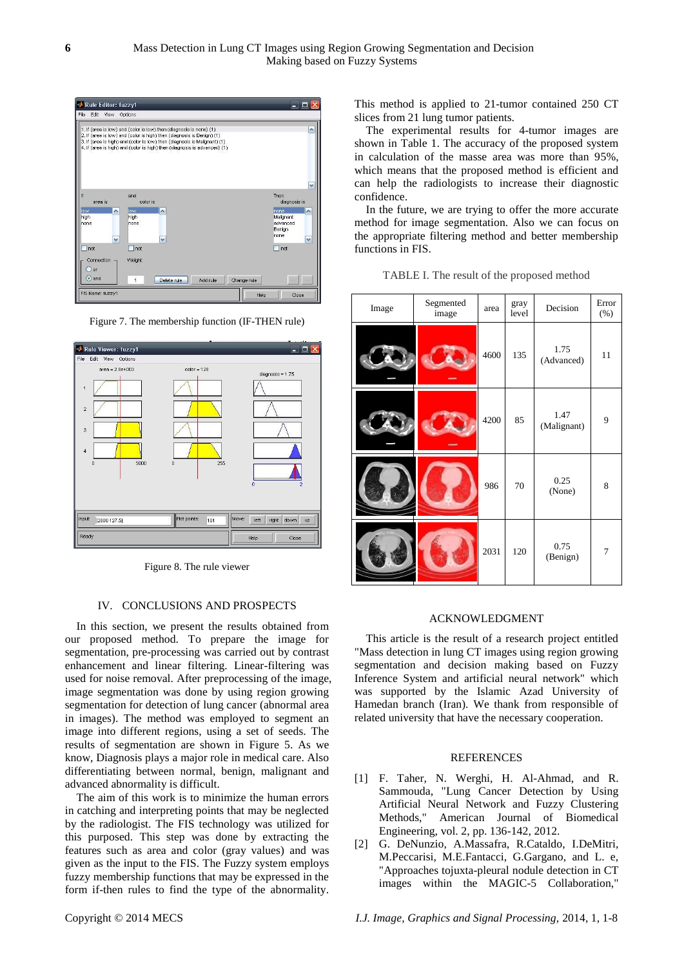| Rule Editor: fuzzy1<br>œ۱                                                    |                                                                                                                                                                                                                                                                                                         |                                                                                    |  |  |  |  |
|------------------------------------------------------------------------------|---------------------------------------------------------------------------------------------------------------------------------------------------------------------------------------------------------------------------------------------------------------------------------------------------------|------------------------------------------------------------------------------------|--|--|--|--|
| File<br>Edit<br>View                                                         | Options                                                                                                                                                                                                                                                                                                 |                                                                                    |  |  |  |  |
|                                                                              | 1. If (area is low) and (color is low) then (diagnosis is none) (1)<br>2. If (area is low) and (color is high) then (diagnosis is Benign) (1)<br>3. If (area is high) and (color is low) then (diagnosis is Malignant) (1)<br>4. If (area is high) and (color is high) then (diagnosis is advanced) (1) | A                                                                                  |  |  |  |  |
| If<br>area is<br>$\left  \boldsymbol{\wedge} \right $<br>low<br>high<br>none | and<br>color is<br>low<br>$\blacktriangle$<br>high<br>none                                                                                                                                                                                                                                              | v<br>Then<br>diagnosis is<br>Inone<br>∧<br>Malignant<br>advanced<br>Benian<br>none |  |  |  |  |
| v<br>not                                                                     | $\checkmark$<br>not                                                                                                                                                                                                                                                                                     | v<br>$\Box$ not                                                                    |  |  |  |  |
| <b>Connection</b><br>or<br>- 1<br>$\odot$ and                                | Weight:<br>Change rule<br>Delete rule<br>Add rule<br>$\mathbf{1}$                                                                                                                                                                                                                                       | <b>RR</b>                                                                          |  |  |  |  |
| FIS Name: fuzzy1                                                             | Help                                                                                                                                                                                                                                                                                                    | Close                                                                              |  |  |  |  |

Figure 7. The membership function (IF-THEN rule)



Figure 8. The rule viewer

#### IV. CONCLUSIONS AND PROSPECTS

In this section, we present the results obtained from our proposed method. To prepare the image for segmentation, pre-processing was carried out by contrast enhancement and linear filtering. Linear-filtering was used for noise removal. After preprocessing of the image, image segmentation was done by using region growing segmentation for detection of lung cancer (abnormal area in images). The method was employed to segment an image into different regions, using a set of seeds. The results of segmentation are shown in Figure 5. As we know, Diagnosis plays a major role in medical care. Also differentiating between normal, benign, malignant and advanced abnormality is difficult.

The aim of this work is to minimize the human errors in catching and interpreting points that may be neglected by the radiologist. The FIS technology was utilized for this purposed. This step was done by extracting the features such as area and color (gray values) and was given as the input to the FIS. The Fuzzy system employs fuzzy membership functions that may be expressed in the form if-then rules to find the type of the abnormality.

This method is applied to 21-tumor contained 250 CT slices from 21 lung tumor patients.

The experimental results for 4-tumor images are shown in Table 1. The accuracy of the proposed system in calculation of the masse area was more than 95%, which means that the proposed method is efficient and can help the radiologists to increase their diagnostic confidence.

In the future, we are trying to offer the more accurate method for image segmentation. Also we can focus on the appropriate filtering method and better membership functions in FIS.

| Image | Segmented<br>image | area | gray<br>level | Decision            | Error<br>(% )  |
|-------|--------------------|------|---------------|---------------------|----------------|
|       |                    | 4600 | 135           | 1.75<br>(Advanced)  | 11             |
|       |                    | 4200 | 85            | 1.47<br>(Malignant) | 9              |
|       |                    | 986  | 70            | 0.25<br>(None)      | 8              |
|       |                    | 2031 | 120           | 0.75<br>(Benign)    | $\overline{7}$ |

TABLE I. The result of the proposed method

#### ACKNOWLEDGMENT

This article is the result of a research project entitled "Mass detection in lung CT images using region growing segmentation and decision making based on Fuzzy Inference System and artificial neural network" which was supported by the Islamic Azad University of Hamedan branch (Iran). We thank from responsible of related university that have the necessary cooperation.

## REFERENCES

- <span id="page-5-0"></span>[1] F. Taher, N. Werghi, H. Al-Ahmad, and R. Sammouda, "Lung Cancer Detection by Using Artificial Neural Network and Fuzzy Clustering Methods," American Journal of Biomedical Engineering, vol. 2, pp. 136-142, 2012.
- <span id="page-5-1"></span>[2] G. DeNunzio, A.Massafra, R.Cataldo, I.DeMitri, M.Peccarisi, M.E.Fantacci, G.Gargano, and L. e, "Approaches tojuxta-pleural nodule detection in CT images within the MAGIC-5 Collaboration,"

Copyright © 2014 MECS *I.J. Image, Graphics and Signal Processing,* 2014, 1, 1-8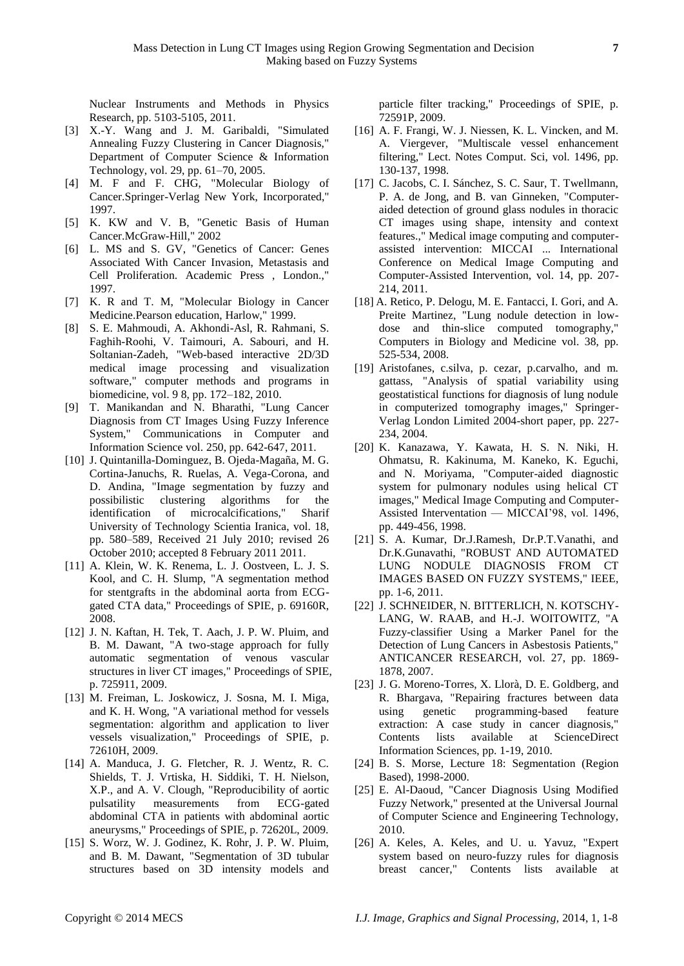Nuclear Instruments and Methods in Physics Research, pp. 5103-5105, 2011.

- <span id="page-6-0"></span>[3] X.-Y. Wang and J. M. Garibaldi, "Simulated Annealing Fuzzy Clustering in Cancer Diagnosis," Department of Computer Science & Information Technology, vol. 29, pp. 61–70, 2005.
- <span id="page-6-1"></span>[4] M. F and F. CHG, "Molecular Biology of Cancer.Springer-Verlag New York, Incorporated," 1997.
- [5] K. KW and V. B, "Genetic Basis of Human Cancer.McGraw-Hill," 2002
- [6] L. MS and S. GV, "Genetics of Cancer: Genes Associated With Cancer Invasion, Metastasis and Cell Proliferation. Academic Press , London.," 1997.
- [7] K. R and T. M, "Molecular Biology in Cancer Medicine.Pearson education, Harlow," 1999.
- <span id="page-6-2"></span>[8] S. E. Mahmoudi, A. Akhondi-Asl, R. Rahmani, S. Faghih-Roohi, V. Taimouri, A. Sabouri, and H. Soltanian-Zadeh, "Web-based interactive 2D/3D medical image processing and visualization software," computer methods and programs in biomedicine, vol. 9 8, pp. 172–182, 2010.
- <span id="page-6-3"></span>[9] T. Manikandan and N. Bharathi, "Lung Cancer Diagnosis from CT Images Using Fuzzy Inference System," Communications in Computer and Information Science vol. 250, pp. 642-647, 2011.
- <span id="page-6-4"></span>[10] J. Quintanilla-Dominguez, B. Ojeda-Magaña, M. G. Cortina-Januchs, R. Ruelas, A. Vega-Corona, and D. Andina, "Image segmentation by fuzzy and possibilistic clustering algorithms for the identification of microcalcifications," Sharif University of Technology Scientia Iranica, vol. 18, pp. 580–589, Received 21 July 2010; revised 26 October 2010; accepted 8 February 2011 2011.
- <span id="page-6-5"></span>[11] A. Klein, W. K. Renema, L. J. Oostveen, L. J. S. Kool, and C. H. Slump, "A segmentation method for stentgrafts in the abdominal aorta from ECGgated CTA data," Proceedings of SPIE, p. 69160R, 2008.
- <span id="page-6-7"></span>[12] J. N. Kaftan, H. Tek, T. Aach, J. P. W. Pluim, and B. M. Dawant, "A two-stage approach for fully automatic segmentation of venous vascular structures in liver CT images," Proceedings of SPIE, p. 725911, 2009.
- [13] M. Freiman, L. Joskowicz, J. Sosna, M. I. Miga, and K. H. Wong, "A variational method for vessels segmentation: algorithm and application to liver vessels visualization," Proceedings of SPIE, p. 72610H, 2009.
- [14] A. Manduca, J. G. Fletcher, R. J. Wentz, R. C. Shields, T. J. Vrtiska, H. Siddiki, T. H. Nielson, X.P., and A. V. Clough, "Reproducibility of aortic pulsatility measurements from ECG-gated abdominal CTA in patients with abdominal aortic aneurysms," Proceedings of SPIE, p. 72620L, 2009.
- [15] S. Worz, W. J. Godinez, K. Rohr, J. P. W. Pluim, and B. M. Dawant, "Segmentation of 3D tubular structures based on 3D intensity models and

particle filter tracking," Proceedings of SPIE, p. 72591P, 2009.

- <span id="page-6-8"></span>[16] A. F. Frangi, W. J. Niessen, K. L. Vincken, and M. A. Viergever, "Multiscale vessel enhancement filtering," Lect. Notes Comput. Sci, vol. 1496, pp. 130-137, 1998.
- <span id="page-6-9"></span><span id="page-6-6"></span>[17] C. Jacobs, C. I. S ánchez, S. C. Saur, T. Twellmann, P. A. de Jong, and B. van Ginneken, "Computeraided detection of ground glass nodules in thoracic CT images using shape, intensity and context features.," Medical image computing and computerassisted intervention: MICCAI ... International Conference on Medical Image Computing and Computer-Assisted Intervention, vol. 14, pp. 207- 214, 2011.
- <span id="page-6-10"></span>[18] A. Retico, P. Delogu, M. E. Fantacci, I. Gori, and A. Preite Martinez, "Lung nodule detection in lowdose and thin-slice computed tomography," Computers in Biology and Medicine vol. 38, pp. 525-534, 2008.
- <span id="page-6-11"></span>[19] Aristofanes, c.silva, p. cezar, p.carvalho, and m. gattass, "Analysis of spatial variability using geostatistical functions for diagnosis of lung nodule in computerized tomography images," Springer-Verlag London Limited 2004-short paper, pp. 227- 234, 2004.
- <span id="page-6-12"></span>[20] K. Kanazawa, Y. Kawata, H. S. N. Niki, H. Ohmatsu, R. Kakinuma, M. Kaneko, K. Eguchi, and N. Moriyama, "Computer-aided diagnostic system for pulmonary nodules using helical CT images," Medical Image Computing and Computer-Assisted Interventation — MICCAI'98, vol. 1496, pp. 449-456, 1998.
- <span id="page-6-13"></span>[21] S. A. Kumar, Dr.J.Ramesh, Dr.P.T.Vanathi, and Dr.K.Gunavathi, "ROBUST AND AUTOMATED LUNG NODULE DIAGNOSIS FROM CT IMAGES BASED ON FUZZY SYSTEMS," IEEE, pp. 1-6, 2011.
- <span id="page-6-14"></span>[22] J. SCHNEIDER, N. BITTERLICH, N. KOTSCHY-LANG, W. RAAB, and H.-J. WOITOWITZ, "A Fuzzy-classifier Using a Marker Panel for the Detection of Lung Cancers in Asbestosis Patients," ANTICANCER RESEARCH, vol. 27, pp. 1869- 1878, 2007.
- <span id="page-6-15"></span>[23] J. G. Moreno-Torres, X. Llor à D. E. Goldberg, and R. Bhargava, "Repairing fractures between data using genetic programming-based feature extraction: A case study in cancer diagnosis," Contents lists available at ScienceDirect Information Sciences, pp. 1-19, 2010.
- <span id="page-6-16"></span>[24] B. S. Morse, Lecture 18: Segmentation (Region Based), 1998-2000.
- <span id="page-6-17"></span>[25] E. Al-Daoud, "Cancer Diagnosis Using Modified Fuzzy Network," presented at the Universal Journal of Computer Science and Engineering Technology, 2010.
- <span id="page-6-18"></span>[26] A. Keles, A. Keles, and U. u. Yavuz, "Expert system based on neuro-fuzzy rules for diagnosis breast cancer," Contents lists available at